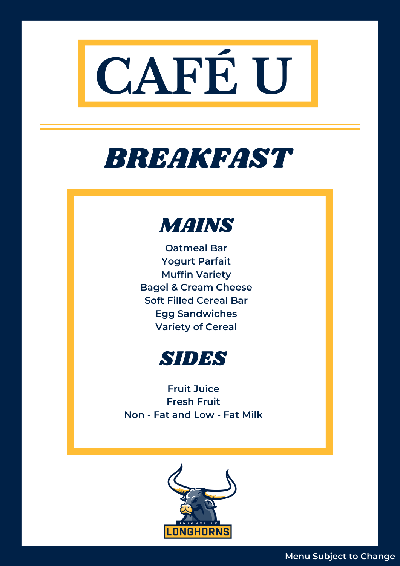

# BREAKFAST



**Oatmeal Bar Yogurt Parfait Muffin Variety Bagel & Cream Cheese Soft Filled Cereal Bar Egg Sandwiches Variety of Cereal**



**Fruit Juice Fresh Fruit Non - Fat and Low - Fat Milk**